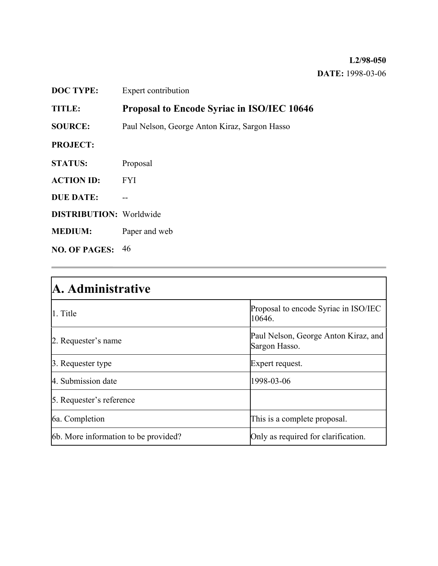### **L2/98-050 DATE:** 1998-03-06

| <b>DOC TYPE:</b>               | Expert contribution                               |
|--------------------------------|---------------------------------------------------|
| <b>TITLE:</b>                  | <b>Proposal to Encode Syriac in ISO/IEC 10646</b> |
| <b>SOURCE:</b>                 | Paul Nelson, George Anton Kiraz, Sargon Hasso     |
| <b>PROJECT:</b>                |                                                   |
| <b>STATUS:</b>                 | Proposal                                          |
| <b>ACTION ID:</b>              | <b>FYI</b>                                        |
| <b>DUE DATE:</b>               |                                                   |
| <b>DISTRIBUTION:</b> Worldwide |                                                   |
| <b>MEDIUM:</b>                 | Paper and web                                     |
| <b>NO. OF PAGES:</b> $46$      |                                                   |

| A. Administrative                    |                                                       |  |  |  |
|--------------------------------------|-------------------------------------------------------|--|--|--|
| 1. Title                             | Proposal to encode Syriac in ISO/IEC<br>10646.        |  |  |  |
| 2. Requester's name                  | Paul Nelson, George Anton Kiraz, and<br>Sargon Hasso. |  |  |  |
| 3. Requester type                    | Expert request.                                       |  |  |  |
| 4. Submission date                   | 1998-03-06                                            |  |  |  |
| 5. Requester's reference             |                                                       |  |  |  |
| 6a. Completion                       | This is a complete proposal.                          |  |  |  |
| 6b. More information to be provided? | Only as required for clarification.                   |  |  |  |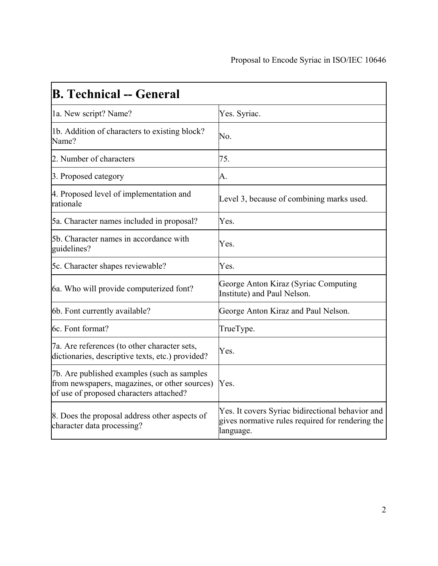| <b>B. Technical -- General</b>                                                                                                          |                                                                                                                   |
|-----------------------------------------------------------------------------------------------------------------------------------------|-------------------------------------------------------------------------------------------------------------------|
| 1a. New script? Name?                                                                                                                   | Yes. Syriac.                                                                                                      |
| 1b. Addition of characters to existing block?<br>Name?                                                                                  | No.                                                                                                               |
| 2. Number of characters                                                                                                                 | 75.                                                                                                               |
| 3. Proposed category                                                                                                                    | A.                                                                                                                |
| 4. Proposed level of implementation and<br>rationale                                                                                    | Level 3, because of combining marks used.                                                                         |
| 5a. Character names included in proposal?                                                                                               | Yes.                                                                                                              |
| 5b. Character names in accordance with<br>guidelines?                                                                                   | Yes.                                                                                                              |
| 5c. Character shapes reviewable?                                                                                                        | Yes.                                                                                                              |
| 6a. Who will provide computerized font?                                                                                                 | George Anton Kiraz (Syriac Computing<br>Institute) and Paul Nelson.                                               |
| 6b. Font currently available?                                                                                                           | George Anton Kiraz and Paul Nelson.                                                                               |
| 6c. Font format?                                                                                                                        | TrueType.                                                                                                         |
| 7a. Are references (to other character sets,<br>dictionaries, descriptive texts, etc.) provided?                                        | Yes.                                                                                                              |
| 7b. Are published examples (such as samples<br>from newspapers, magazines, or other sources)<br>of use of proposed characters attached? | Yes.                                                                                                              |
| 8. Does the proposal address other aspects of<br>character data processing?                                                             | Yes. It covers Syriac bidirectional behavior and<br>gives normative rules required for rendering the<br>language. |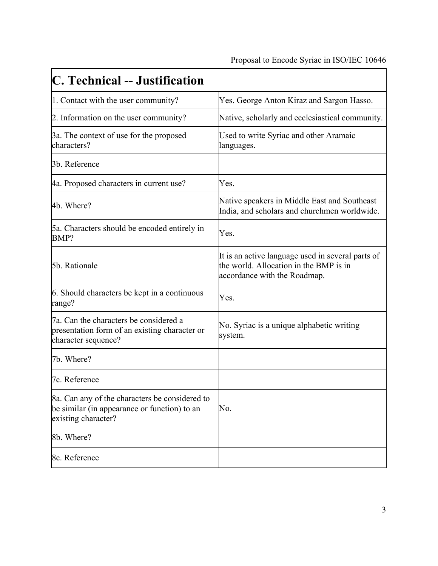| C. Technical -- Justification                                                                                         |                                                                                                                             |
|-----------------------------------------------------------------------------------------------------------------------|-----------------------------------------------------------------------------------------------------------------------------|
| 1. Contact with the user community?                                                                                   | Yes. George Anton Kiraz and Sargon Hasso.                                                                                   |
| 2. Information on the user community?                                                                                 | Native, scholarly and ecclesiastical community.                                                                             |
| 3a. The context of use for the proposed<br>characters?                                                                | Used to write Syriac and other Aramaic<br>languages.                                                                        |
| 3b. Reference                                                                                                         |                                                                                                                             |
| 4a. Proposed characters in current use?                                                                               | Yes.                                                                                                                        |
| 4b. Where?                                                                                                            | Native speakers in Middle East and Southeast<br>India, and scholars and churchmen worldwide.                                |
| 5a. Characters should be encoded entirely in<br>BMP?                                                                  | Yes.                                                                                                                        |
| 5b. Rationale                                                                                                         | It is an active language used in several parts of<br>the world. Allocation in the BMP is in<br>accordance with the Roadmap. |
| 6. Should characters be kept in a continuous<br>range?                                                                | Yes.                                                                                                                        |
| 7a. Can the characters be considered a<br>presentation form of an existing character or<br>character sequence?        | No. Syriac is a unique alphabetic writing<br>system.                                                                        |
| 7b. Where?                                                                                                            |                                                                                                                             |
| 7c. Reference                                                                                                         |                                                                                                                             |
| 8a. Can any of the characters be considered to<br>be similar (in appearance or function) to an<br>existing character? | No.                                                                                                                         |
| 8b. Where?                                                                                                            |                                                                                                                             |
| 8c. Reference                                                                                                         |                                                                                                                             |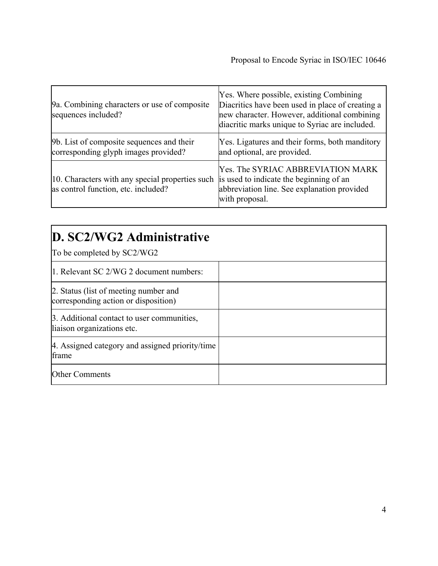| 9a. Combining characters or use of composite<br>sequences included?                    | Yes. Where possible, existing Combining<br>Diacritics have been used in place of creating a<br>new character. However, additional combining<br>diacritic marks unique to Syriac are included. |  |  |
|----------------------------------------------------------------------------------------|-----------------------------------------------------------------------------------------------------------------------------------------------------------------------------------------------|--|--|
| 9b. List of composite sequences and their<br>corresponding glyph images provided?      | Yes. Ligatures and their forms, both manditory<br>and optional, are provided.                                                                                                                 |  |  |
| 10. Characters with any special properties such<br>as control function, etc. included? | <b>Yes. The SYRIAC ABBREVIATION MARK</b><br>is used to indicate the beginning of an<br>abbreviation line. See explanation provided<br>with proposal.                                          |  |  |

| D. SC2/WG2 Administrative                                                     |  |  |  |
|-------------------------------------------------------------------------------|--|--|--|
| To be completed by SC2/WG2                                                    |  |  |  |
| 1. Relevant SC 2/WG 2 document numbers:                                       |  |  |  |
| 2. Status (list of meeting number and<br>corresponding action or disposition) |  |  |  |
| 3. Additional contact to user communities,<br>liaison organizations etc.      |  |  |  |
| 4. Assigned category and assigned priority/time<br>frame                      |  |  |  |
| <b>Other Comments</b>                                                         |  |  |  |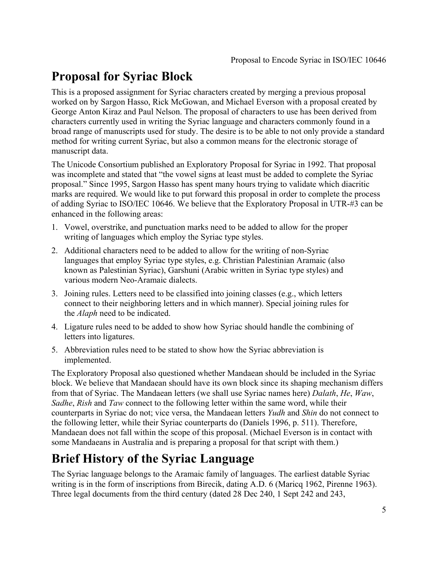### **Proposal for Syriac Block**

This is a proposed assignment for Syriac characters created by merging a previous proposal worked on by Sargon Hasso, Rick McGowan, and Michael Everson with a proposal created by George Anton Kiraz and Paul Nelson. The proposal of characters to use has been derived from characters currently used in writing the Syriac language and characters commonly found in a broad range of manuscripts used for study. The desire is to be able to not only provide a standard method for writing current Syriac, but also a common means for the electronic storage of manuscript data.

The Unicode Consortium published an Exploratory Proposal for Syriac in 1992. That proposal was incomplete and stated that "the vowel signs at least must be added to complete the Syriac proposal." Since 1995, Sargon Hasso has spent many hours trying to validate which diacritic marks are required. We would like to put forward this proposal in order to complete the process of adding Syriac to ISO/IEC 10646. We believe that the Exploratory Proposal in UTR-#3 can be enhanced in the following areas:

- 1. Vowel, overstrike, and punctuation marks need to be added to allow for the proper writing of languages which employ the Syriac type styles.
- 2. Additional characters need to be added to allow for the writing of non-Syriac languages that employ Syriac type styles, e.g. Christian Palestinian Aramaic (also known as Palestinian Syriac), Garshuni (Arabic written in Syriac type styles) and various modern Neo-Aramaic dialects.
- 3. Joining rules. Letters need to be classified into joining classes (e.g., which letters connect to their neighboring letters and in which manner). Special joining rules for the *Alaph* need to be indicated.
- 4. Ligature rules need to be added to show how Syriac should handle the combining of letters into ligatures.
- 5. Abbreviation rules need to be stated to show how the Syriac abbreviation is implemented.

The Exploratory Proposal also questioned whether Mandaean should be included in the Syriac block. We believe that Mandaean should have its own block since its shaping mechanism differs from that of Syriac. The Mandaean letters (we shall use Syriac names here) *Dalath*, *He*, *Waw*, *Sadhe*, *Rish* and *Taw* connect to the following letter within the same word, while their counterparts in Syriac do not; vice versa, the Mandaean letters *Yudh* and *Shin* do not connect to the following letter, while their Syriac counterparts do (Daniels 1996, p. 511). Therefore, Mandaean does not fall within the scope of this proposal. (Michael Everson is in contact with some Mandaeans in Australia and is preparing a proposal for that script with them.)

## **Brief History of the Syriac Language**

The Syriac language belongs to the Aramaic family of languages. The earliest datable Syriac writing is in the form of inscriptions from Birecik, dating A.D. 6 (Maricq 1962, Pirenne 1963). Three legal documents from the third century (dated 28 Dec 240, 1 Sept 242 and 243,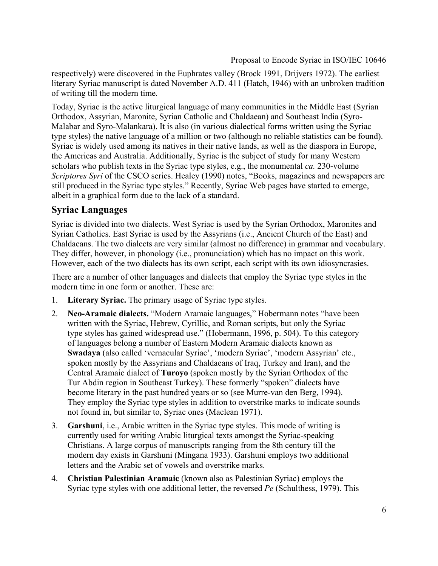respectively) were discovered in the Euphrates valley (Brock 1991, Drijvers 1972). The earliest literary Syriac manuscript is dated November A.D. 411 (Hatch, 1946) with an unbroken tradition of writing till the modern time.

Today, Syriac is the active liturgical language of many communities in the Middle East (Syrian Orthodox, Assyrian, Maronite, Syrian Catholic and Chaldaean) and Southeast India (Syro-Malabar and Syro-Malankara). It is also (in various dialectical forms written using the Syriac type styles) the native language of a million or two (although no reliable statistics can be found). Syriac is widely used among its natives in their native lands, as well as the diaspora in Europe, the Americas and Australia. Additionally, Syriac is the subject of study for many Western scholars who publish texts in the Syriac type styles, e.g., the monumental *ca.* 230-volume *Scriptores Syri* of the CSCO series. Healey (1990) notes, "Books, magazines and newspapers are still produced in the Syriac type styles." Recently, Syriac Web pages have started to emerge, albeit in a graphical form due to the lack of a standard.

### **Syriac Languages**

Syriac is divided into two dialects. West Syriac is used by the Syrian Orthodox, Maronites and Syrian Catholics. East Syriac is used by the Assyrians (i.e., Ancient Church of the East) and Chaldaeans. The two dialects are very similar (almost no difference) in grammar and vocabulary. They differ, however, in phonology (i.e., pronunciation) which has no impact on this work. However, each of the two dialects has its own script, each script with its own idiosyncrasies.

There are a number of other languages and dialects that employ the Syriac type styles in the modern time in one form or another. These are:

- 1. **Literary Syriac.** The primary usage of Syriac type styles.
- 2. **Neo-Aramaic dialects.** "Modern Aramaic languages," Hobermann notes "have been written with the Syriac, Hebrew, Cyrillic, and Roman scripts, but only the Syriac type styles has gained widespread use." (Hobermann, 1996, p. 504). To this category of languages belong a number of Eastern Modern Aramaic dialects known as **Swadaya** (also called 'vernacular Syriac', 'modern Syriac', 'modern Assyrian' etc., spoken mostly by the Assyrians and Chaldaeans of Iraq, Turkey and Iran), and the Central Aramaic dialect of **Turoyo** (spoken mostly by the Syrian Orthodox of the Tur Abdin region in Southeast Turkey). These formerly "spoken" dialects have become literary in the past hundred years or so (see Murre-van den Berg, 1994). They employ the Syriac type styles in addition to overstrike marks to indicate sounds not found in, but similar to, Syriac ones (Maclean 1971).
- 3. **Garshuni**, i.e., Arabic written in the Syriac type styles. This mode of writing is currently used for writing Arabic liturgical texts amongst the Syriac-speaking Christians. A large corpus of manuscripts ranging from the 8th century till the modern day exists in Garshuni (Mingana 1933). Garshuni employs two additional letters and the Arabic set of vowels and overstrike marks.
- 4. **Christian Palestinian Aramaic** (known also as Palestinian Syriac) employs the Syriac type styles with one additional letter, the reversed *Pe* (Schulthess, 1979). This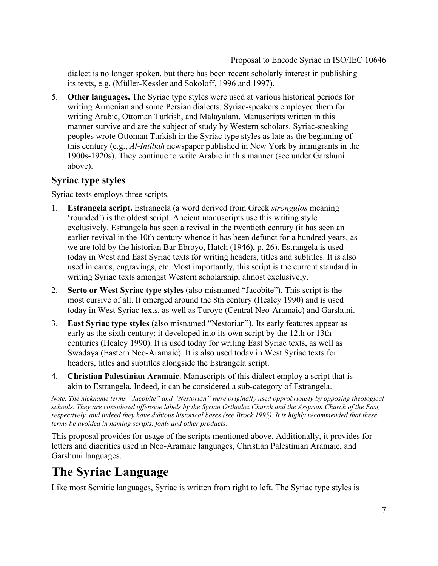dialect is no longer spoken, but there has been recent scholarly interest in publishing its texts, e.g. (Müller-Kessler and Sokoloff, 1996 and 1997).

5. **Other languages.** The Syriac type styles were used at various historical periods for writing Armenian and some Persian dialects. Syriac-speakers employed them for writing Arabic, Ottoman Turkish, and Malayalam. Manuscripts written in this manner survive and are the subject of study by Western scholars. Syriac-speaking peoples wrote Ottoman Turkish in the Syriac type styles as late as the beginning of this century (e.g., *Al-Intibah* newspaper published in New York by immigrants in the 1900s-1920s). They continue to write Arabic in this manner (see under Garshuni above).

### **Syriac type styles**

Syriac texts employs three scripts.

- 1. **Estrangela script.** Estrangela (a word derived from Greek *strongulos* meaning 'rounded') is the oldest script. Ancient manuscripts use this writing style exclusively. Estrangela has seen a revival in the twentieth century (it has seen an earlier revival in the 10th century whence it has been defunct for a hundred years, as we are told by the historian Bar Ebroyo, Hatch (1946), p. 26). Estrangela is used today in West and East Syriac texts for writing headers, titles and subtitles. It is also used in cards, engravings, etc. Most importantly, this script is the current standard in writing Syriac texts amongst Western scholarship, almost exclusively.
- 2. **Serto or West Syriac type styles** (also misnamed "Jacobite"). This script is the most cursive of all. It emerged around the 8th century (Healey 1990) and is used today in West Syriac texts, as well as Turoyo (Central Neo-Aramaic) and Garshuni.
- 3. **East Syriac type styles** (also misnamed "Nestorian"). Its early features appear as early as the sixth century; it developed into its own script by the 12th or 13th centuries (Healey 1990). It is used today for writing East Syriac texts, as well as Swadaya (Eastern Neo-Aramaic). It is also used today in West Syriac texts for headers, titles and subtitles alongside the Estrangela script.
- 4. **Christian Palestinian Aramaic**. Manuscripts of this dialect employ a script that is akin to Estrangela. Indeed, it can be considered a sub-category of Estrangela.

*Note. The nickname terms "Jacobite" and "Nestorian" were originally used opprobriously by opposing theological schools. They are considered offensive labels by the Syrian Orthodox Church and the Assyrian Church of the East, respectively, and indeed they have dubious historical bases (see Brock 1995). It is highly recommended that these terms be avoided in naming scripts, fonts and other products.*

This proposal provides for usage of the scripts mentioned above. Additionally, it provides for letters and diacritics used in Neo-Aramaic languages, Christian Palestinian Aramaic, and Garshuni languages.

# **The Syriac Language**

Like most Semitic languages, Syriac is written from right to left. The Syriac type styles is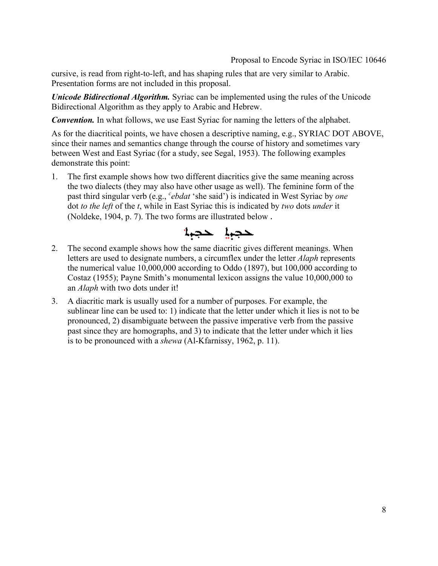cursive, is read from right-to-left, and has shaping rules that are very similar to Arabic. Presentation forms are not included in this proposal.

*Unicode Bidirectional Algorithm.* Syriac can be implemented using the rules of the Unicode Bidirectional Algorithm as they apply to Arabic and Hebrew.

*Convention.* In what follows, we use East Syriac for naming the letters of the alphabet.

As for the diacritical points, we have chosen a descriptive naming, e.g., SYRIAC DOT ABOVE, since their names and semantics change through the course of history and sometimes vary between West and East Syriac (for a study, see Segal, 1953). The following examples demonstrate this point:

1. The first example shows how two different diacritics give the same meaning across the two dialects (they may also have other usage as well). The feminine form of the past third singular verb (e.g., *<sup>c</sup> ebdat* 'she said') is indicated in West Syriac by *one* dot *to the left* of the *t*, while in East Syriac this is indicated by *two* dots *under* it (Noldeke, 1904, p. 7). The two forms are illustrated below .



- 2. The second example shows how the same diacritic gives different meanings. When letters are used to designate numbers, a circumflex under the letter *Alaph* represents the numerical value 10,000,000 according to Oddo (1897), but 100,000 according to Costaz (1955); Payne Smith's monumental lexicon assigns the value 10,000,000 to an *Alaph* with two dots under it!
- 3. A diacritic mark is usually used for a number of purposes. For example, the sublinear line can be used to: 1) indicate that the letter under which it lies is not to be pronounced, 2) disambiguate between the passive imperative verb from the passive past since they are homographs, and 3) to indicate that the letter under which it lies is to be pronounced with a *shewa* (Al-Kfarnissy, 1962, p. 11).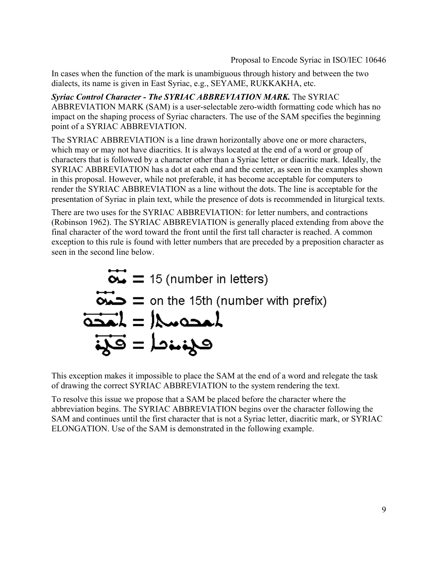In cases when the function of the mark is unambiguous through history and between the two dialects, its name is given in East Syriac, e.g., SEYAME, RUKKAKHA, etc.

*Syriac Control Character - The SYRIAC ABBREVIATION MARK.* The SYRIAC ABBREVIATION MARK (SAM) is a user-selectable zero-width formatting code which has no impact on the shaping process of Syriac characters. The use of the SAM specifies the beginning point of a SYRIAC ABBREVIATION.

The SYRIAC ABBREVIATION is a line drawn horizontally above one or more characters, which may or may not have diacritics. It is always located at the end of a word or group of characters that is followed by a character other than a Syriac letter or diacritic mark. Ideally, the SYRIAC ABBREVIATION has a dot at each end and the center, as seen in the examples shown in this proposal. However, while not preferable, it has become acceptable for computers to render the SYRIAC ABBREVIATION as a line without the dots. The line is acceptable for the presentation of Syriac in plain text, while the presence of dots is recommended in liturgical texts.

There are two uses for the SYRIAC ABBREVIATION: for letter numbers, and contractions (Robinson 1962). The SYRIAC ABBREVIATION is generally placed extending from above the final character of the word toward the front until the first tall character is reached. A common exception to this rule is found with letter numbers that are preceded by a preposition character as seen in the second line below.



This exception makes it impossible to place the SAM at the end of a word and relegate the task of drawing the correct SYRIAC ABBREVIATION to the system rendering the text.

To resolve this issue we propose that a SAM be placed before the character where the abbreviation begins. The SYRIAC ABBREVIATION begins over the character following the SAM and continues until the first character that is not a Syriac letter, diacritic mark, or SYRIAC ELONGATION. Use of the SAM is demonstrated in the following example.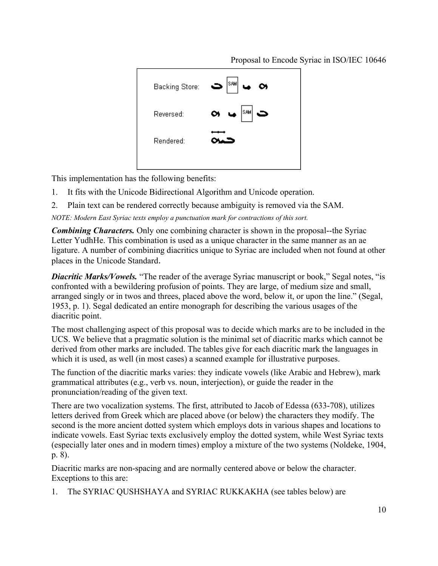

This implementation has the following benefits:

- 1. It fits with the Unicode Bidirectional Algorithm and Unicode operation.
- 2. Plain text can be rendered correctly because ambiguity is removed via the SAM.

*NOTE: Modern East Syriac texts employ a punctuation mark for contractions of this sort.*

*Combining Characters.* Only one combining character is shown in the proposal--the Syriac Letter YudhHe. This combination is used as a unique character in the same manner as an ae ligature. A number of combining diacritics unique to Syriac are included when not found at other places in the Unicode Standard.

*Diacritic Marks/Vowels.* "The reader of the average Syriac manuscript or book," Segal notes, "is confronted with a bewildering profusion of points. They are large, of medium size and small, arranged singly or in twos and threes, placed above the word, below it, or upon the line." (Segal, 1953, p. 1). Segal dedicated an entire monograph for describing the various usages of the diacritic point.

The most challenging aspect of this proposal was to decide which marks are to be included in the UCS. We believe that a pragmatic solution is the minimal set of diacritic marks which cannot be derived from other marks are included. The tables give for each diacritic mark the languages in which it is used, as well (in most cases) a scanned example for illustrative purposes.

The function of the diacritic marks varies: they indicate vowels (like Arabic and Hebrew), mark grammatical attributes (e.g., verb vs. noun, interjection), or guide the reader in the pronunciation/reading of the given text.

There are two vocalization systems. The first, attributed to Jacob of Edessa (633-708), utilizes letters derived from Greek which are placed above (or below) the characters they modify. The second is the more ancient dotted system which employs dots in various shapes and locations to indicate vowels. East Syriac texts exclusively employ the dotted system, while West Syriac texts (especially later ones and in modern times) employ a mixture of the two systems (Noldeke, 1904, p. 8).

Diacritic marks are non-spacing and are normally centered above or below the character. Exceptions to this are:

1. The SYRIAC QUSHSHAYA and SYRIAC RUKKAKHA (see tables below) are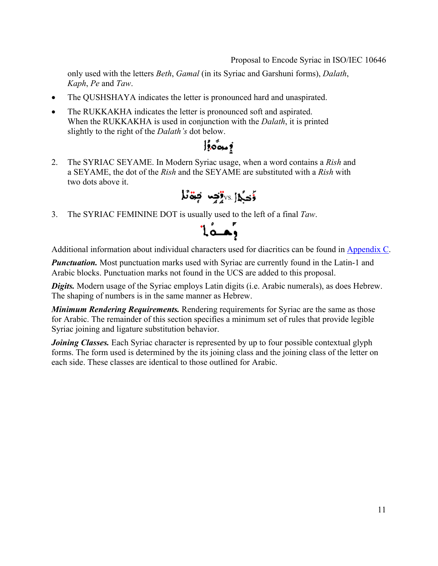only used with the letters *Beth*, *Gamal* (in its Syriac and Garshuni forms), *Dalath*, *Kaph*, *Pe* and *Taw*.

- The QUSHSHAYA indicates the letter is pronounced hard and unaspirated.
- The RUKKAKHA indicates the letter is pronounced soft and aspirated. When the RUKKAKHA is used in conjunction with the *Dalath*, it is printed slightly to the right of the *Dalath's* dot below.

## $\int_{\mathbb{R}} \delta \phi_{\mathbf{S}} d\mathbf{S}$

2. The SYRIAC SEYAME. In Modern Syriac usage, when a word contains a *Rish* and a SEYAME, the dot of the *Rish* and the SEYAME are substituted with a *Rish* with two dots above it.

$$
J\ddot{\bullet}\ddot{\bullet}\dot{\bullet}\dot{\bullet}
$$

3. The SYRIAC FEMININE DOT is usually used to the left of a final *Taw*.



Additional information about individual characters used for diacritics can be found in Appendix C.

*Punctuation.* Most punctuation marks used with Syriac are currently found in the Latin-1 and Arabic blocks. Punctuation marks not found in the UCS are added to this proposal.

**Digits.** Modern usage of the Syriac employs Latin digits (i.e. Arabic numerals), as does Hebrew. The shaping of numbers is in the same manner as Hebrew.

*Minimum Rendering Requirements.* Rendering requirements for Syriac are the same as those for Arabic. The remainder of this section specifies a minimum set of rules that provide legible Syriac joining and ligature substitution behavior.

*Joining Classes.* Each Syriac character is represented by up to four possible contextual glyph forms. The form used is determined by the its joining class and the joining class of the letter on each side. These classes are identical to those outlined for Arabic.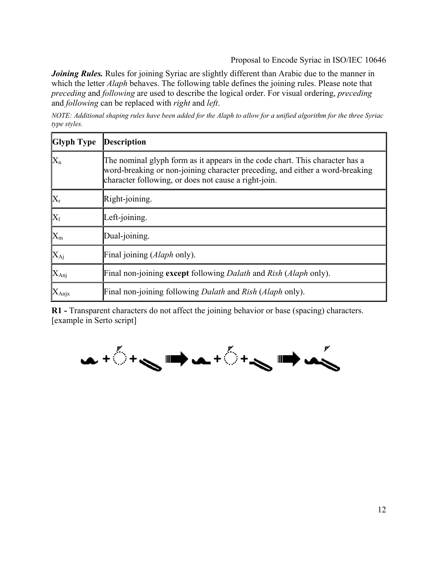*Joining Rules.* Rules for joining Syriac are slightly different than Arabic due to the manner in which the letter *Alaph* behaves. The following table defines the joining rules. Please note that *preceding* and *following* are used to describe the logical order. For visual ordering, *preceding* and *following* can be replaced with *right* and *left*.

*NOTE: Additional shaping rules have been added for the Alaph to allow for a unified algorithm for the three Syriac type styles.*

| <b>Glyph Type</b>         | <b>Description</b>                                                                                                                                                                                                   |
|---------------------------|----------------------------------------------------------------------------------------------------------------------------------------------------------------------------------------------------------------------|
| $\rm{X}_n$                | The nominal glyph form as it appears in the code chart. This character has a<br>word-breaking or non-joining character preceding, and either a word-breaking<br>character following, or does not cause a right-join. |
| $X_{r}$                   | Right-joining.                                                                                                                                                                                                       |
| $\mathbf{X}_1$            | Left-joining.                                                                                                                                                                                                        |
| $\mathbb{X}_{\mathrm{m}}$ | Dual-joining.                                                                                                                                                                                                        |
| $\rm X_{\rm Aj}$          | Final joining (Alaph only).                                                                                                                                                                                          |
| $ X_{\text{Anj}} $        | Final non-joining except following <i>Dalath</i> and <i>Rish</i> ( <i>Alaph</i> only).                                                                                                                               |
| $\mathbf{X}_{\text{Any}}$ | Final non-joining following <i>Dalath</i> and <i>Rish</i> ( <i>Alaph</i> only).                                                                                                                                      |

**R1 -** Transparent characters do not affect the joining behavior or base (spacing) characters. [example in Serto script]

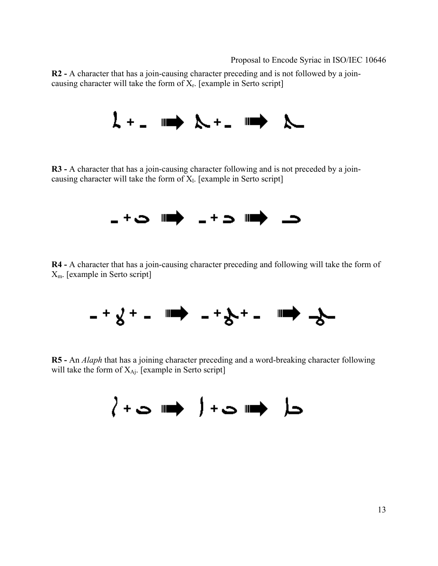**R2 -** A character that has a join-causing character preceding and is not followed by a joincausing character will take the form of  $X_r$ . [example in Serto script]



**R3 -** A character that has a join-causing character following and is not preceded by a joincausing character will take the form of  $X<sub>l</sub>$ . [example in Serto script]



**R4 -** A character that has a join-causing character preceding and following will take the form of Xm. [example in Serto script]



**R5 -** An *Alaph* that has a joining character preceding and a word-breaking character following will take the form of  $X_{Ai}$ . [example in Serto script]

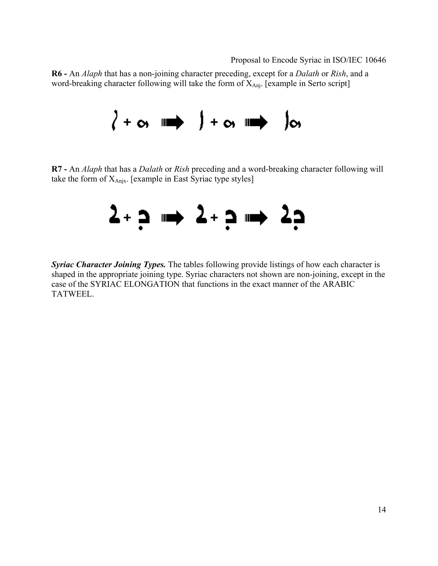**R6 -** An *Alaph* that has a non-joining character preceding, except for a *Dalath* or *Rish*, and a word-breaking character following will take the form of  $X_{\text{Ani}}$ . [example in Serto script]



**R7 -** An *Alaph* that has a *Dalath* or *Rish* preceding and a word-breaking character following will take the form of  $X_{\text{Anix}}$ . [example in East Syriac type styles]



*Syriac Character Joining Types.* The tables following provide listings of how each character is shaped in the appropriate joining type. Syriac characters not shown are non-joining, except in the case of the SYRIAC ELONGATION that functions in the exact manner of the ARABIC TATWEEL.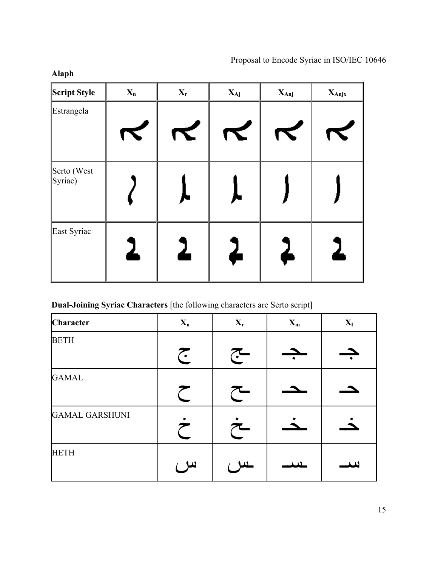| Script Style                                        | $\mathbf{X}_n$ | $X_r$ | $X_{Aj}$ | $X_{\text{Anj}}$     | $X_{\text{Anj}x}$ |
|-----------------------------------------------------|----------------|-------|----------|----------------------|-------------------|
| Estrangela                                          |                | K     | K        | $\blacktriangledown$ |                   |
| Serto (West<br>$\left  \text{Syriac} \right\rangle$ |                |       |          |                      |                   |
| East Syriac                                         | ሬ              |       | 4        |                      |                   |

### **Dual-Joining Syriac Characters** [the following characters are Serto script]

| Character             | $X_n$    | $\mathbf{X}_\text{r}$ | $X_m$ | $X_{l}$ |
|-----------------------|----------|-----------------------|-------|---------|
| <b>BETH</b>           | <b>J</b> | $\tilde{\cdot}$       |       |         |
| <b>GAMAL</b>          |          |                       |       |         |
| <b>GAMAL GARSHUNI</b> |          | ~_                    |       |         |
| <b>HETH</b>           | سر ع     |                       | س     |         |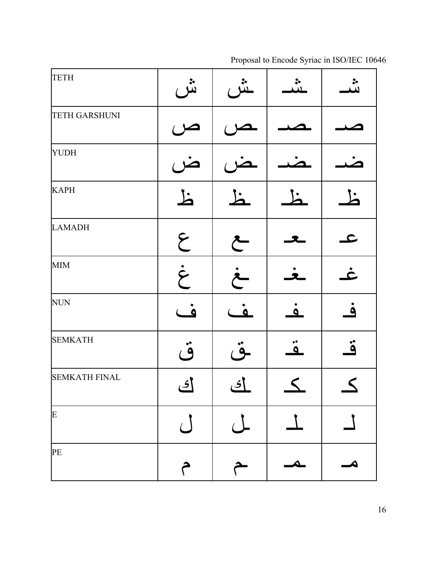| <b>TETH</b>          | نثن                            | خر           |                    | ن<br>نب      |
|----------------------|--------------------------------|--------------|--------------------|--------------|
| <b>TETH GARSHUNI</b> |                                |              |                    |              |
| <b>YUDH</b>          |                                |              |                    |              |
| <b>KAPH</b>          | 上                              | $\mathbf{h}$ |                    | Ľ            |
| <b>LAMADH</b>        | $\epsilon$                     | $\tilde{C}$  |                    | $\mathbf{C}$ |
| <b>MIM</b>           | $\dot{\mathcal{E}}$            | خ            |                    | <u>خ</u>     |
| <b>NUN</b>           | $\dot{\underline{\mathbf{o}}}$ | <u>ۂ</u>     | $\dot{\mathbf{a}}$ | <u>ۂ </u>    |
| <b>SEMKATH</b>       | قُ                             | $\ddot{9}$   | $\ddot{\bullet}$   | ڎ            |
| <b>SEMKATH FINAL</b> | ای                             | ای           | $\leq$             | $\leq$       |
| E                    |                                |              |                    |              |
| PE                   | م                              |              | Δ                  |              |

Proposal to Encode Syriac in ISO/IEC 10646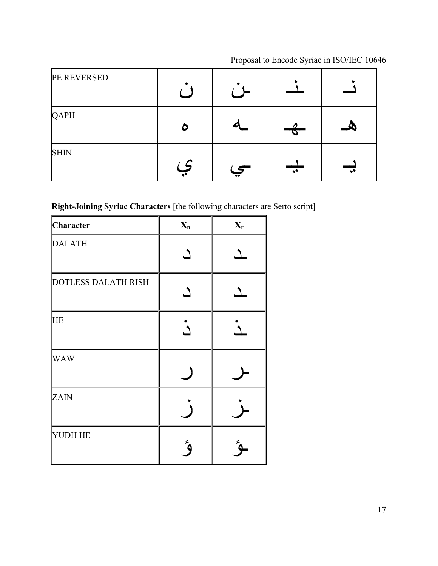| PE REVERSED |                      |                                                                                                                                                                                                                                                                                                                                                                                                                                                                                                                                                                                           |                          |                        |
|-------------|----------------------|-------------------------------------------------------------------------------------------------------------------------------------------------------------------------------------------------------------------------------------------------------------------------------------------------------------------------------------------------------------------------------------------------------------------------------------------------------------------------------------------------------------------------------------------------------------------------------------------|--------------------------|------------------------|
| QAPH        | ۵                    |                                                                                                                                                                                                                                                                                                                                                                                                                                                                                                                                                                                           |                          |                        |
| <b>SHIN</b> | $\overline{\bullet}$ | $\overline{\tiny{}}\overline{\tiny{}}\overline{\tiny{}}\overline{\tiny{}}\overline{\tiny{}}\overline{\tiny{}}\overline{\tiny{}}\overline{\tiny{}}\overline{\tiny{}}\overline{\tiny{}}\overline{\tiny{}}\overline{\tiny{}}\overline{\tiny{}}\overline{\tiny{}}\overline{\tiny{}}\overline{\tiny{}}\overline{\tiny{}}\overline{\tiny{}}\overline{\tiny{}}\overline{\tiny{}}\overline{\tiny{}}\overline{\tiny{}}\overline{\tiny{}}\overline{\tiny{}}\overline{\tiny{}}\overline{\tiny{}}\overline{\tiny{}}\overline{\tiny{}}\overline{\tiny{}}\overline{\tiny{}}\overline{\tiny{}}\overline$ | $\overline{\phantom{0}}$ | $\overline{\bullet^*}$ |

### **Right-Joining Syriac Characters** [the following characters are Serto script]

| Character                  | $X_n$      | $X_r$ |
|----------------------------|------------|-------|
| <b>DALATH</b>              |            |       |
| <b>DOTLESS DALATH RISH</b> |            |       |
| HE                         |            |       |
| <b>WAW</b>                 |            |       |
| ZAIN                       |            |       |
| YUDH HE                    | $\epsilon$ | ٤     |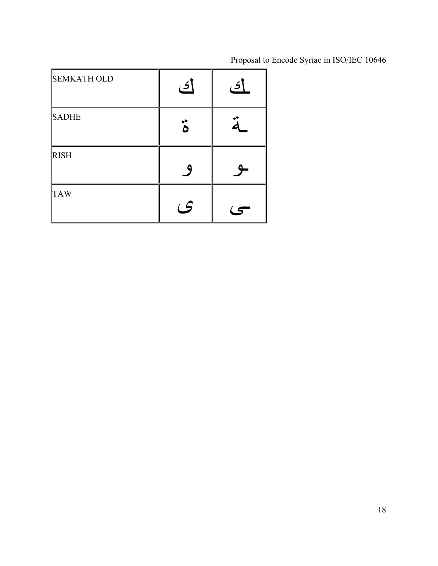| <b>SEMKATH OLD</b> | <u>ای</u> | ڪ |
|--------------------|-----------|---|
| <b>SADHE</b>       |           |   |
| <b>RISH</b>        | q         |   |
| <b>TAW</b>         | (         |   |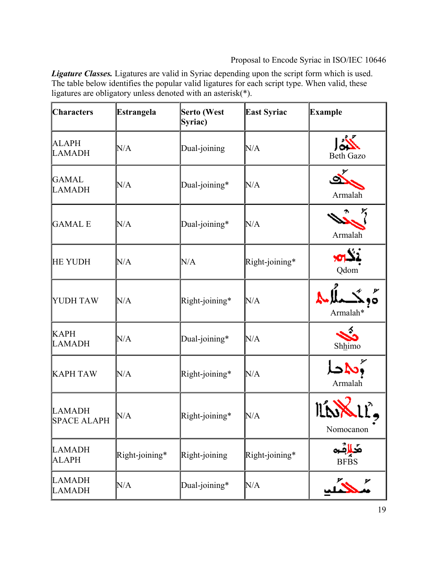*Ligature Classes.* Ligatures are valid in Syriac depending upon the script form which is used. The table below identifies the popular valid ligatures for each script type. When valid, these ligatures are obligatory unless denoted with an asterisk(\*).

| <b>Characters</b>                   | <b>Estrangela</b> | <b>Serto (West</b><br>Syriac) | <b>East Syriac</b> | <b>Example</b>            |
|-------------------------------------|-------------------|-------------------------------|--------------------|---------------------------|
| <b>ALAPH</b><br><b>LAMADH</b>       | N/A               | Dual-joining                  | N/A                | <b>Beth Gazo</b>          |
| <b>GAMAL</b><br><b>LAMADH</b>       | N/A               | Dual-joining*                 | N/A                | Armalah                   |
| <b>GAMAL E</b>                      | N/A               | Dual-joining*                 | N/A                | Armalah                   |
| <b>HE YUDH</b>                      | N/A               | N/A                           | Right-joining*     | نڌين<br>Qdom              |
| <b>YUDH TAW</b>                     | N/A               | Right-joining*                | N/A                | س<br>99<br>Armalah*       |
| <b>KAPH</b><br><b>LAMADH</b>        | N/A               | Dual-joining*                 | N/A                | Shhimo                    |
| <b>KAPH TAW</b>                     | N/A               | Right-joining*                | N/A                | Armalah                   |
| <b>LAMADH</b><br><b>SPACE ALAPH</b> | N/A               | Right-joining*                | N/A                | Nomocanon                 |
| <b>LAMADH</b><br><b>ALAPH</b>       | Right-joining*    | Right-joining                 | Right-joining*     | مَحَالِثَو<br><b>BFBS</b> |
| <b>LAMADH</b><br><b>LAMADH</b>      | N/A               | Dual-joining*                 | N/A                |                           |

L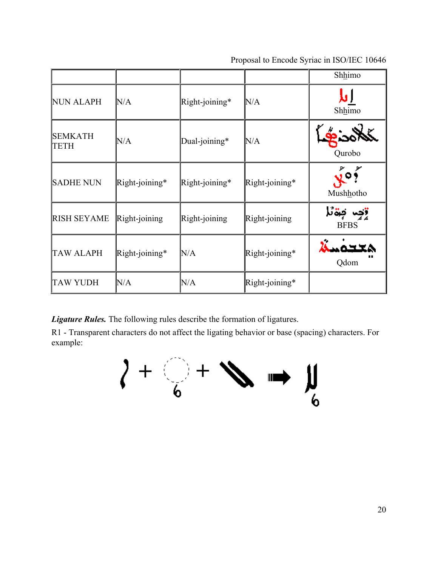|                               |                |                   |                   | Shhimo                                         |
|-------------------------------|----------------|-------------------|-------------------|------------------------------------------------|
| <b>NUN ALAPH</b>              | N/A            | Right-joining*    | N/A               | Shhimo                                         |
| <b>SEMKATH</b><br><b>TETH</b> | N/A            | Dual-joining*     | N/A               | Qurobo                                         |
| <b>SADHE NUN</b>              | Right-joining* | $Right$ -joining* | Right-joining*    | Mushhotho                                      |
| <b>RISH SEYAME</b>            | Right-joining  | Right-joining     | Right-joining     | رچين <b>تې</b> ق <sup>ت</sup> د<br><b>BFBS</b> |
| <b>TAW ALAPH</b>              | Right-joining* | N/A               | Right-joining*    | Qdom                                           |
| <b>TAW YUDH</b>               | N/A            | N/A               | $Right$ -joining* |                                                |

*Ligature Rules.* The following rules describe the formation of ligatures.

R1 - Transparent characters do not affect the ligating behavior or base (spacing) characters. For example:

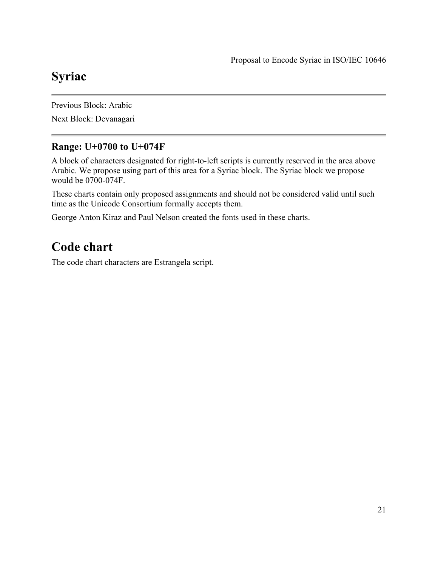## **Syriac**

Previous Block: Arabic Next Block: Devanagari

### **Range: U+0700 to U+074F**

A block of characters designated for right-to-left scripts is currently reserved in the area above Arabic. We propose using part of this area for a Syriac block. The Syriac block we propose would be 0700-074F.

These charts contain only proposed assignments and should not be considered valid until such time as the Unicode Consortium formally accepts them.

George Anton Kiraz and Paul Nelson created the fonts used in these charts.

## **Code chart**

The code chart characters are Estrangela script.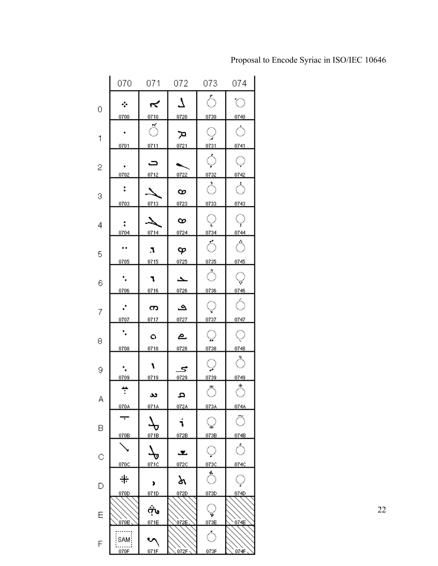|   | 070                      | 071                   | 072                 | 073                 | 074                       |
|---|--------------------------|-----------------------|---------------------|---------------------|---------------------------|
| 0 | ÷                        | ឃ                     | 7                   | Ó                   | $\circlearrowright$       |
|   | 0700                     | 0710                  | 0720                | 0730                | 0740                      |
| 1 | ٠                        | ॕ                     | ת                   | ਼                   | ं                         |
|   | 0701                     | 0711                  | 0721                | 0731                | 0741                      |
| 2 | ٠                        | ت                     |                     | $\circlearrowright$ | $\bigcirc$                |
|   | 0702                     | 0712                  | 0722                | 0732                | 0742                      |
| 3 | ÷                        |                       | ∞                   | ்                   | ்                         |
|   | 0703                     | 0713                  | 0723                | 0733                | 0743                      |
| 4 | ÷<br>0704                | –∆<br>0714            | ∞<br>0724           | ុ<br>0734           | $\heartsuit$<br>0744      |
|   |                          |                       |                     |                     |                           |
| 5 | ٠٠                       | л                     | φ<br>0725           | $\Diamond$          | $\hat{\circ}$             |
|   | 0705                     | 0715                  |                     | 0735                | 0745                      |
| 6 | ۰.<br>0706               | ٦<br>0716             | ح<br>0726           | ै<br>0736           | $\bigcirc$<br>0746        |
|   |                          |                       |                     |                     |                           |
| 7 | ÷<br>0707                | က<br>0717             | ی<br>0727           | Q<br>0737           | Ó<br>0747                 |
|   | ۰.                       |                       |                     |                     |                           |
| 8 |                          | o                     | ௨                   | $\bigcirc$          | Q                         |
|   | 0708                     | 0718                  | 0728                | 0738                | 0748                      |
|   |                          |                       |                     |                     | $\hat{\circlearrowright}$ |
| 9 | ٠.                       | ١                     | 5                   | $\bigcirc$          |                           |
|   | 0709                     | 0719                  | 0729                | 0739                | 0749                      |
|   | ÷                        |                       |                     | $\bar{\circ}$       | $\bigcirc$                |
| А | 070A                     | ىد<br>071A            | a,<br>072A          | 073A                | 074A                      |
|   |                          |                       |                     |                     |                           |
| B | $\overline{\phantom{a}}$ |                       | $\blacksquare$<br>٦ | $\mathbb Q$         | Õ                         |
|   | 070B                     | 071B                  | 072B                | 073B                | 074B                      |
|   |                          |                       |                     |                     |                           |
| C |                          | $\vec{\tau}$          | ᅩ                   | $\bigcirc$          | ்                         |
|   | 070C                     | 071C                  | 072C                | 073C                | 074C                      |
|   | ╬                        |                       | ৯                   | $\hat{\circ}$       | O                         |
| D |                          | ,                     |                     |                     |                           |
|   | 070D                     | 071D                  | 072D                | 073D                | 074D                      |
|   |                          | مية                   |                     | $\heartsuit$        |                           |
| Ε | 070E                     | 071E                  | 072E                | 073E                | 074E                      |
|   |                          |                       |                     |                     |                           |
| F | SAM!                     | $\tilde{\phantom{a}}$ |                     | $\hat{\circ}$       |                           |
|   | 070F                     | 071F                  | 072F                | 073F                | 074F                      |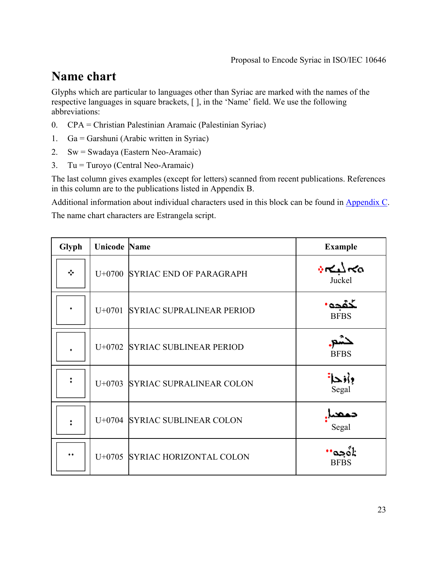## **Name chart**

Glyphs which are particular to languages other than Syriac are marked with the names of the respective languages in square brackets, [ ], in the 'Name' field. We use the following abbreviations:

- 0. CPA = Christian Palestinian Aramaic (Palestinian Syriac)
- 1. Ga = Garshuni (Arabic written in Syriac)
- 2. Sw = Swadaya (Eastern Neo-Aramaic)
- 3. Tu = Turoyo (Central Neo-Aramaic)

The last column gives examples (except for letters) scanned from recent publications. References in this column are to the publications listed in Appendix B.

Additional information about individual characters used in this block can be found in Appendix C.

The name chart characters are Estrangela script.

| Glyph | <b>Unicode Name</b> |                                  | <b>Example</b>        |
|-------|---------------------|----------------------------------|-----------------------|
| ÷     |                     | U+0700 SYRIAC END OF PARAGRAPH   | پہ کبکہ میں<br>Juckel |
| ٠     |                     | U+0701 SYRIAC SUPRALINEAR PERIOD | خقحه<br><b>BFBS</b>   |
| ٠     |                     | U+0702 SYRIAC SUBLINEAR PERIOD   | حتدر<br><b>BFBS</b>   |
| ŧ     |                     | U+0703 SYRIAC SUPRALINEAR COLON  | وأفحا<br>Segal        |
| ÷     |                     | U+0704 SYRIAC SUBLINEAR COLON    | حصم<br>Segal          |
| ٠٠    |                     | U+0705 SYRIAC HORIZONTAL COLON   | اة ده.<br><b>BFBS</b> |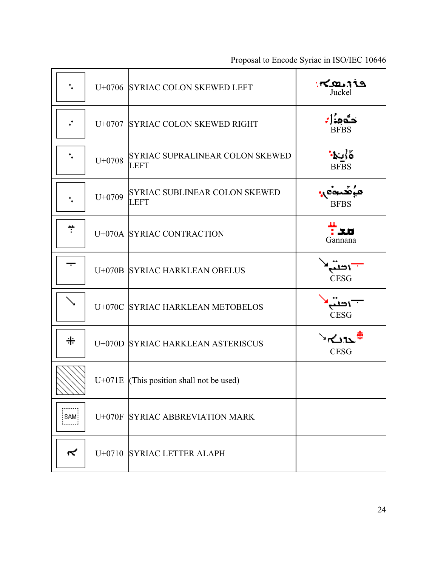| Proposal to Encode Syriac in ISO/IEC 10646 |
|--------------------------------------------|
|                                            |

|      |          | U+0706 SYRIAC COLON SKEWED LEFT                     | ې د هک<br>Juckel                   |
|------|----------|-----------------------------------------------------|------------------------------------|
| ÷    |          | U+0707 SYRIAC COLON SKEWED RIGHT                    | $\frac{1}{\text{BFBS}}$            |
|      | $U+0708$ | SYRIAC SUPRALINEAR COLON SKEWED<br><b>LEFT</b>      | ه∤ر <mark>ا∙</mark><br><b>BFBS</b> |
|      | $U+0709$ | <b>SYRIAC SUBLINEAR COLON SKEWED</b><br><b>LEFT</b> | مؤهّدة و<br><b>BFBS</b>            |
| ÷    |          | U+070A SYRIAC CONTRACTION                           | Film<br>Gannana                    |
|      |          | U+070B SYRIAC HARKLEAN OBELUS                       | "۱تنب<br><b>CESG</b>               |
|      |          | U+070C SYRIAC HARKLEAN METOBELOS                    | اتلب<br><b>CESG</b>                |
| 羋    |          | U+070D SYRIAC HARKLEAN ASTERISCUS                   | `∗⊂∆ນ™<br><b>CESG</b>              |
| レノノノ |          | $U+071E$ (This position shall not be used)          |                                    |
| SAM: |          | U+070F SYRIAC ABBREVIATION MARK                     |                                    |
| ≺    |          | U+0710 SYRIAC LETTER ALAPH                          |                                    |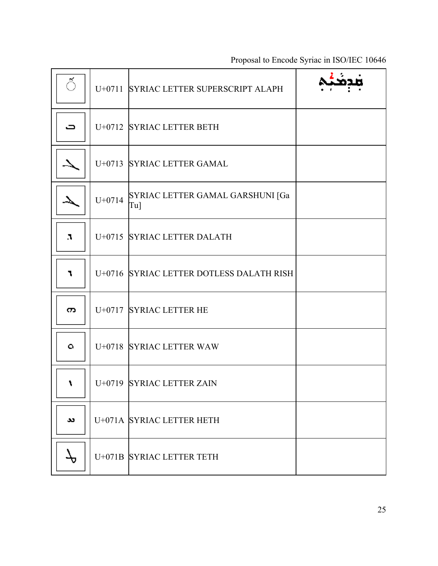| ॕ  |          | U+0711 SYRIAC LETTER SUPERSCRIPT ALAPH     |  |
|----|----------|--------------------------------------------|--|
| ∍  |          | U+0712 SYRIAC LETTER BETH                  |  |
|    |          | U+0713 SYRIAC LETTER GAMAL                 |  |
|    | $U+0714$ | SYRIAC LETTER GAMAL GARSHUNI [Ga<br>$Tu$ ] |  |
| л  |          | U+0715 SYRIAC LETTER DALATH                |  |
| ٦  |          | U+0716 SYRIAC LETTER DOTLESS DALATH RISH   |  |
| က  |          | U+0717 SYRIAC LETTER HE                    |  |
| o. |          | U+0718 SYRIAC LETTER WAW                   |  |
| ١  |          | U+0719 SYRIAC LETTER ZAIN                  |  |
| دد |          | U+071A SYRIAC LETTER HETH                  |  |
|    |          | U+071B SYRIAC LETTER TETH                  |  |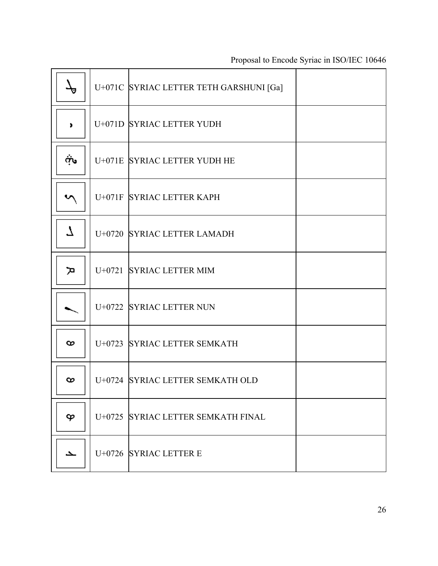|      | U+071C SYRIAC LETTER TETH GARSHUNI [Ga] |  |
|------|-----------------------------------------|--|
| ٠    | U+071D SYRIAC LETTER YUDH               |  |
| مينه | U+071E SYRIAC LETTER YUDH HE            |  |
|      | U+071F SYRIAC LETTER KAPH               |  |
| 7    | U+0720 SYRIAC LETTER LAMADH             |  |
| ת    | U+0721 SYRIAC LETTER MIM                |  |
|      | U+0722 SYRIAC LETTER NUN                |  |
| ∞    | U+0723 SYRIAC LETTER SEMKATH            |  |
| ∞    | U+0724 SYRIAC LETTER SEMKATH OLD        |  |
| φ    | U+0725 SYRIAC LETTER SEMKATH FINAL      |  |
| ح    | U+0726 SYRIAC LETTER E                  |  |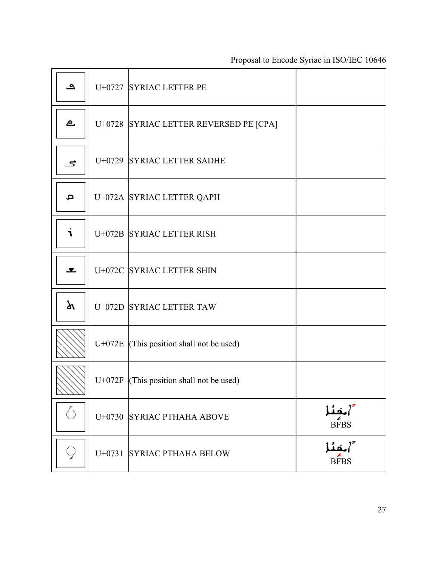| ڡ     | U+0727 SYRIAC LETTER PE                          |                       |
|-------|--------------------------------------------------|-----------------------|
| ௨     | U+0728 SYRIAC LETTER REVERSED PE [CPA]           |                       |
| 5     | U+0729 SYRIAC LETTER SADHE                       |                       |
| م     | U+072A SYRIAC LETTER QAPH                        |                       |
| ٦     | U+072B SYRIAC LETTER RISH                        |                       |
| J.    | U+072C SYRIAC LETTER SHIN                        |                       |
| ৯     | U+072D SYRIAC LETTER TAW                         |                       |
|       | U+072E $(This position shall not be used)$       |                       |
| 77777 | U+072F $\vert$ (This position shall not be used) |                       |
| Ó     | U+0730 SYRIAC PTHAHA ABOVE                       | ''خفئا<br><b>BFBS</b> |
| ਼     | U+0731 SYRIAC PTHAHA BELOW                       | "،خنا<br><b>BFBS</b>  |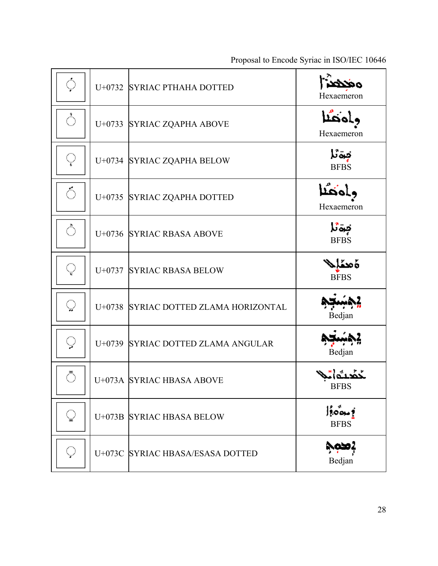| ं             | U+0732 SYRIAC PTHAHA DOTTED           | Hexaemeron                                                            |
|---------------|---------------------------------------|-----------------------------------------------------------------------|
| ்             | U+0733 SYRIAC ZQAPHA ABOVE            | وامطا<br>Hexaemeron                                                   |
| Q             | U+0734 SYRIAC ZQAPHA BELOW            | تبة نُا<br><b>BFBS</b>                                                |
| $\hat{\circ}$ | U+0735 SYRIAC ZQAPHA DOTTED           | وامغشا<br>Hexaemeron                                                  |
| ்             | U+0736 SYRIAC RBASA ABOVE             | تبوتا<br><b>BFBS</b>                                                  |
| Q             | U+0737 SYRIAC RBASA BELOW             | ەمئاپ<br><b>BFBS</b>                                                  |
| $\bigcirc$    | U+0738 SYRIAC DOTTED ZLAMA HORIZONTAL | Bedjan                                                                |
| $\bigcirc$    | U+0739 SYRIAC DOTTED ZLAMA ANGULAR    | Bedjan                                                                |
| ঁ             | U+073A SYRIAC HBASA ABOVE             | <b>BFBS</b>                                                           |
| Q             | U+073B SYRIAC HBASA BELOW             | $ lo^{\dagger}_{\alpha} \circ \underline{\mathbf{1}} $<br><b>BFBS</b> |
| Q             | U+073C SYRIAC HBASA/ESASA DOTTED      | نصمه<br>Bedjan                                                        |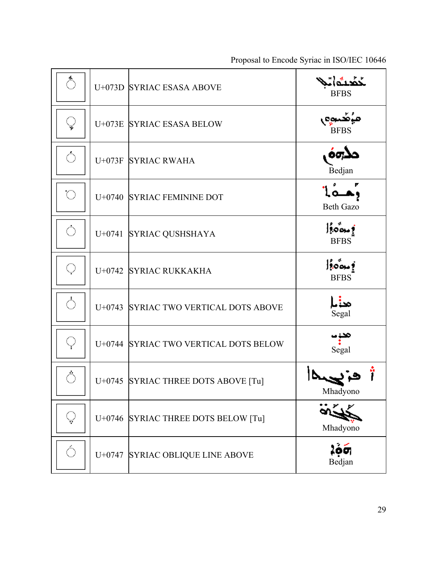| ்                   | U+073D SYRIAC ESASA ABOVE             | <b>BFBS</b>                            |
|---------------------|---------------------------------------|----------------------------------------|
| $\heartsuit$        | U+073E SYRIAC ESASA BELOW             | ميُضِّنوم<br><b>BFBS</b>               |
| $\bigcirc$          | U+073F SYRIAC RWAHA                   | مذهف<br>Bedjan                         |
| $\circlearrowright$ | U+0740 SYRIAC FEMININE DOT            | وهمأ<br><b>Beth Gazo</b>               |
| $\bigcirc$          | U+0741 SYRIAC QUSHSHAYA               | 0.001 <br><b>BFBS</b>                  |
| $\bigcirc$          | U+0742 SYRIAC RUKKAKHA                | $ lo^{\circ}_{\infty} $<br><b>BFBS</b> |
| ்                   | U+0743 SYRIAC TWO VERTICAL DOTS ABOVE | منالم<br>Segal                         |
| $\bigcirc$          | U+0744 SYRIAC TWO VERTICAL DOTS BELOW | مې<br>Segal                            |
| $\hat{\circ}$       | U+0745 SYRIAC THREE DOTS ABOVE [Tu]   | Mhadyono                               |
| $\bigcirc$          | U+0746 SYRIAC THREE DOTS BELOW [Tu]   | Mhadyono                               |
| Ó                   | U+0747 SYRIAC OBLIQUE LINE ABOVE      | 2óó,<br>Bedjan                         |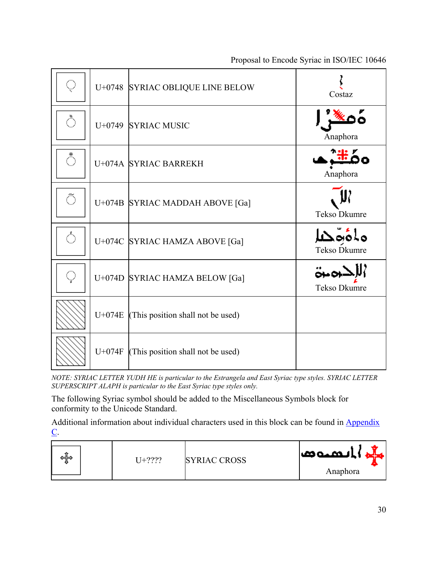| Q |          | U+0748 SYRIAC OBLIQUE LINE BELOW  | Costaz               |
|---|----------|-----------------------------------|----------------------|
| Ö |          | U+0749 SYRIAC MUSIC               | Anaphora             |
| ் |          | U+074A SYRIAC BARREKH             | Anaphora             |
| Õ |          | U+074B SYRIAC MADDAH ABOVE [Ga]   | Tekso Dkumre         |
| Ô |          | U+074C SYRIAC HAMZA ABOVE [Ga]    | Tekso Dkumre         |
| Q |          | U+074D SYRIAC HAMZA BELOW [Ga]    | ومبق<br>Tekso Dkumre |
|   | U+074E   | (This position shall not be used) |                      |
|   | $U+074F$ | (This position shall not be used) |                      |

*NOTE: SYRIAC LETTER YUDH HE is particular to the Estrangela and East Syriac type styles. SYRIAC LETTER SUPERSCRIPT ALAPH is particular to the East Syriac type styles only.*

The following Syriac symbol should be added to the Miscellaneous Symbols block for conformity to the Unicode Standard.

Additional information about individual characters used in this block can be found in Appendix  $C$ .

| ∽<br>⇔⊯ | $T_{+222}$ | <b>SYRIAC CROSS</b> | الممتعدا |
|---------|------------|---------------------|----------|
|         |            |                     | Anaphora |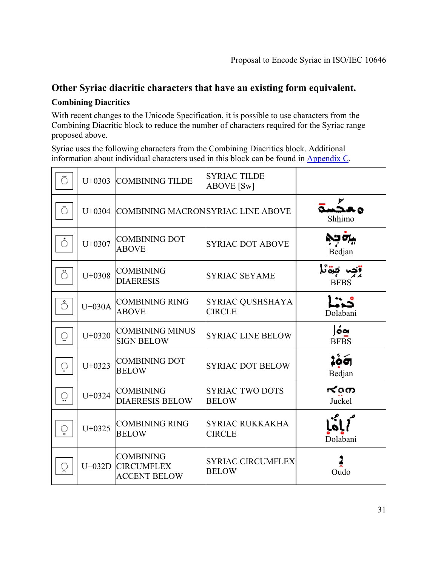### **Other Syriac diacritic characters that have an existing form equivalent.**

#### **Combining Diacritics**

With recent changes to the Unicode Specification, it is possible to use characters from the Combining Diacritic block to reduce the number of characters required for the Syriac range proposed above.

Syriac uses the following characters from the Combining Diacritics block. Additional information about individual characters used in this block can be found in Appendix C.

| Õ              | $U+0303$   | <b>COMBINING TILDE</b>                                       | <b>SYRIAC TILDE</b><br><b>ABOVE</b> [Sw] |                       |
|----------------|------------|--------------------------------------------------------------|------------------------------------------|-----------------------|
| Ō              | $U+0304$   | <b>COMBINING MACRONSYRIAC LINE ABOVE</b>                     |                                          | ەھجە<br>Shhimo        |
| ்              | $U + 0307$ | <b>COMBINING DOT</b><br><b>ABOVE</b>                         | <b>SYRIAC DOT ABOVE</b>                  | قلم فرخ<br>Bedjan     |
| $\ddot{\circ}$ | $U+0308$   | <b>COMBINING</b><br><b>DIAERESIS</b>                         | <b>SYRIAC SEYAME</b>                     | جرة نا<br><b>BFBS</b> |
| ்              | $U+030A$   | <b>COMBINING RING</b><br><b>ABOVE</b>                        | SYRIAC QUSHSHAYA<br><b>CIRCLE</b>        | Dolabani              |
| Q              | $U+0320$   | <b>COMBINING MINUS</b><br><b>SIGN BELOW</b>                  | <b>SYRIAC LINE BELOW</b>                 | óa<br><b>BFBS</b>     |
| Ó              | $U+0323$   | <b>COMBINING DOT</b><br><b>BELOW</b>                         | <b>SYRIAC DOT BELOW</b>                  | 266<br>Bedjan         |
| ਼              | $U+0324$   | <b>COMBINING</b><br><b>DIAERESIS BELOW</b>                   | <b>SYRIAC TWO DOTS</b><br><b>BELOW</b>   | ≮രത<br>Juckel         |
| ृ              | $U+0325$   | <b>COMBINING RING</b><br><b>BELOW</b>                        | <b>SYRIAC RUKKAKHA</b><br><b>CIRCLE</b>  | Dolabani              |
| ्र             | $U+032D$   | <b>COMBINING</b><br><b>CIRCUMFLEX</b><br><b>ACCENT BELOW</b> | <b>SYRIAC CIRCUMFLEX</b><br><b>BELOW</b> | Oudo                  |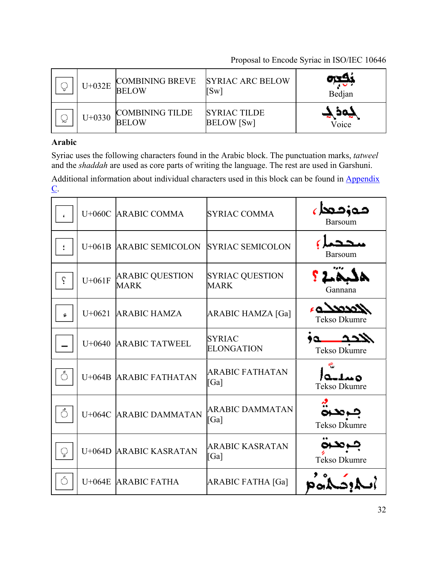| ∕‴\<br>`ህ' | $U+032E$ | <b>COMBINING BREVE</b><br><b>BELOW</b> | <b>SYRIAC ARC BELOW</b><br>$\lceil\text{Sw}\rceil$ | Bedjan |
|------------|----------|----------------------------------------|----------------------------------------------------|--------|
| ∕"\        | $U+0330$ | <b>COMBINING TILDE</b>                 | <b>SYRIAC TILDE</b>                                | تەھ    |
| ₩          |          | <b>BELOW</b>                           | <b>BELOW</b> [Sw]                                  | Voice  |

### **Arabic**

Syriac uses the following characters found in the Arabic block. The punctuation marks, *tatweel* and the *shaddah* are used as core parts of writing the language. The rest are used in Garshuni.

Additional information about individual characters used in this block can be found in Appendix  $C$ .

|    |          | U+060C ARABIC COMMA                   | <b>SYRIAC COMMA</b>                         | مەزمەل<br><b>Barsoum</b>   |
|----|----------|---------------------------------------|---------------------------------------------|----------------------------|
|    | $U+061B$ | <b>ARABIC SEMICOLON</b>               | <b>SYRIAC SEMICOLON</b>                     | <b>Barsoum</b>             |
| ς  | $U+061F$ | <b>ARABIC QUESTION</b><br><b>MARK</b> | <b>SYRIAC QUESTION</b><br><b>MARK</b>       | Gannana                    |
| ç. | $U+0621$ | <b>ARABIC HAMZA</b>                   | <b>ARABIC HAMZA [Ga]</b>                    | لامدمدلـهء<br>Tekso Dkumre |
|    | $U+0640$ | <b>ARABIC TATWEEL</b>                 | <b>SYRIAC</b><br><b>ELONGATION</b>          | Tekso Dkumre               |
| ்  |          | U+064B ARABIC FATHATAN                | <b>ARABIC FATHATAN</b><br>$\lceil Ga\rceil$ | متبلية<br>Tekso Dkumre     |
| ்  |          | U+064C ARABIC DAMMATAN                | <b>ARABIC DAMMATAN</b><br>$\lceil Ga\rceil$ | Tekso Dkumre               |
| Q  | $U+064D$ | <b>ARABIC KASRATAN</b>                | <b>ARABIC KASRATAN</b><br>$\lceil Ga\rceil$ | Tekso Dkumre               |
| Ó  |          | U+064E ARABIC FATHA                   | <b>ARABIC FATHA [Ga]</b>                    |                            |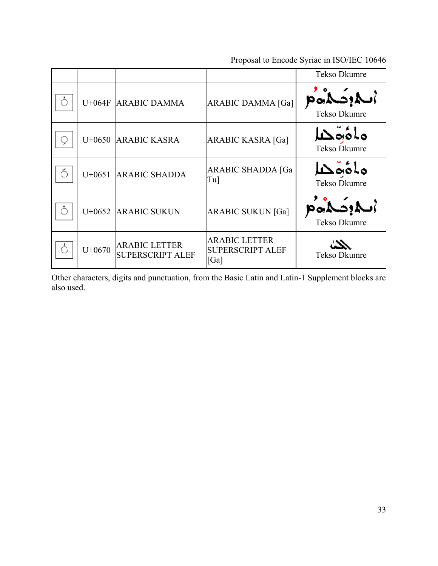|   |          |                                                 |                                                         | Tekso Dkumre             |
|---|----------|-------------------------------------------------|---------------------------------------------------------|--------------------------|
|   | $U+064F$ | <b>ARABIC DAMMA</b>                             | <b>ARABIC DAMMA [Ga]</b>                                | الموضلاة<br>Tekso Dkumre |
| ् | $U+0650$ | <b>ARABIC KASRA</b>                             | <b>ARABIC KASRA [Ga]</b>                                | ملؤومكا<br>Tekso Dkumre  |
| ఄ | $U+0651$ | <b>ARABIC SHADDA</b>                            | <b>ARABIC SHADDA [Ga</b><br>Tu]                         | ماؤوهلا<br>Tekso Dkumre  |
| Õ | $U+0652$ | <b>ARABIC SUKUN</b>                             | <b>ARABIC SUKUN [Ga]</b>                                | الموضلاة<br>Tekso Dkumre |
|   | $U+0670$ | <b>ARABIC LETTER</b><br><b>SUPERSCRIPT ALEF</b> | <b>ARABIC LETTER</b><br><b>SUPERSCRIPT ALEF</b><br>[Ga] | Tekso Dkumre             |

Other characters, digits and punctuation, from the Basic Latin and Latin-1 Supplement blocks are also used.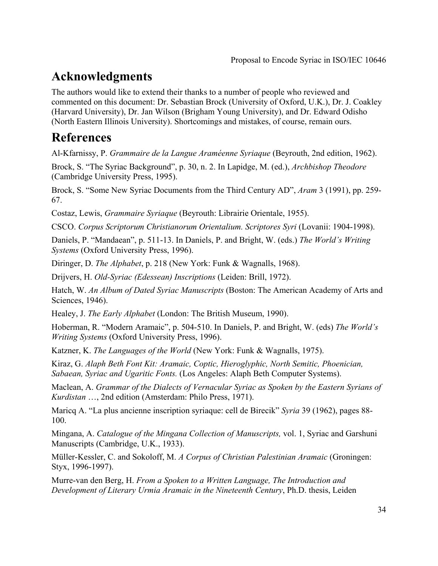## **Acknowledgments**

The authors would like to extend their thanks to a number of people who reviewed and commented on this document: Dr. Sebastian Brock (University of Oxford, U.K.), Dr. J. Coakley (Harvard University), Dr. Jan Wilson (Brigham Young University), and Dr. Edward Odisho (North Eastern Illinois University). Shortcomings and mistakes, of course, remain ours.

## **References**

Al-Kfarnissy, P. *Grammaire de la Langue Araméenne Syriaque* (Beyrouth, 2nd edition, 1962).

Brock, S. "The Syriac Background", p. 30, n. 2. In Lapidge, M. (ed.), *Archbishop Theodore* (Cambridge University Press, 1995).

Brock, S. "Some New Syriac Documents from the Third Century AD", *Aram* 3 (1991), pp. 259- 67.

Costaz, Lewis, *Grammaire Syriaque* (Beyrouth: Librairie Orientale, 1955).

CSCO. *Corpus Scriptorum Christianorum Orientalium. Scriptores Syri* (Lovanii: 1904-1998).

Daniels, P. "Mandaean", p. 511-13. In Daniels, P. and Bright, W. (eds.) *The World's Writing Systems* (Oxford University Press, 1996).

Diringer, D. *The Alphabet*, p. 218 (New York: Funk & Wagnalls, 1968).

Drijvers, H. *Old-Syriac (Edessean) Inscriptions* (Leiden: Brill, 1972).

Hatch, W. *An Album of Dated Syriac Manuscripts* (Boston: The American Academy of Arts and Sciences, 1946).

Healey, J. *The Early Alphabet* (London: The British Museum, 1990).

Hoberman, R. "Modern Aramaic", p. 504-510. In Daniels, P. and Bright, W. (eds) *The World's Writing Systems* (Oxford University Press, 1996).

Katzner, K. *The Languages of the World* (New York: Funk & Wagnalls, 1975).

Kiraz, G. *Alaph Beth Font Kit: Aramaic, Coptic, Hieroglyphic, North Semitic, Phoenician, Sabaean, Syriac and Ugaritic Fonts.* (Los Angeles: Alaph Beth Computer Systems).

Maclean, A. *Grammar of the Dialects of Vernacular Syriac as Spoken by the Eastern Syrians of Kurdistan* …, 2nd edition (Amsterdam: Philo Press, 1971).

Maricq A. "La plus ancienne inscription syriaque: cell de Birecik" *Syria* 39 (1962), pages 88- 100.

Mingana, A. *Catalogue of the Mingana Collection of Manuscripts,* vol. 1, Syriac and Garshuni Manuscripts (Cambridge, U.K., 1933).

Müller-Kessler, C. and Sokoloff, M. *A Corpus of Christian Palestinian Aramaic* (Groningen: Styx, 1996-1997).

Murre-van den Berg, H. *From a Spoken to a Written Language, The Introduction and Development of Literary Urmia Aramaic in the Nineteenth Century*, Ph.D. thesis, Leiden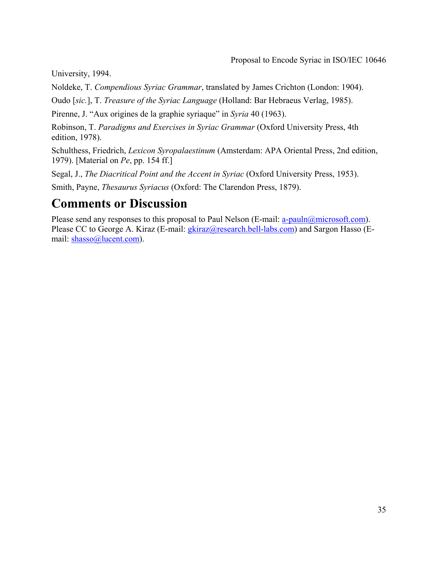University, 1994.

Noldeke, T. *Compendious Syriac Grammar*, translated by James Crichton (London: 1904).

Oudo [*sic.*], T. *Treasure of the Syriac Language* (Holland: Bar Hebraeus Verlag, 1985).

Pirenne, J. "Aux origines de la graphie syriaque" in *Syria* 40 (1963).

Robinson, T. *Paradigms and Exercises in Syriac Grammar* (Oxford University Press, 4th edition, 1978).

Schulthess, Friedrich, *Lexicon Syropalaestinum* (Amsterdam: APA Oriental Press, 2nd edition, 1979). [Material on *Pe*, pp. 154 ff.]

Segal, J., *The Diacritical Point and the Accent in Syriac* (Oxford University Press, 1953).

Smith, Payne, *Thesaurus Syriacus* (Oxford: The Clarendon Press, 1879).

## **Comments or Discussion**

Please send any responses to this proposal to Paul Nelson (E-mail: a-pauln@microsoft.com). Please CC to George A. Kiraz (E-mail: *gkiraz@research.bell-labs.com*) and Sargon Hasso (Email: shasso@lucent.com).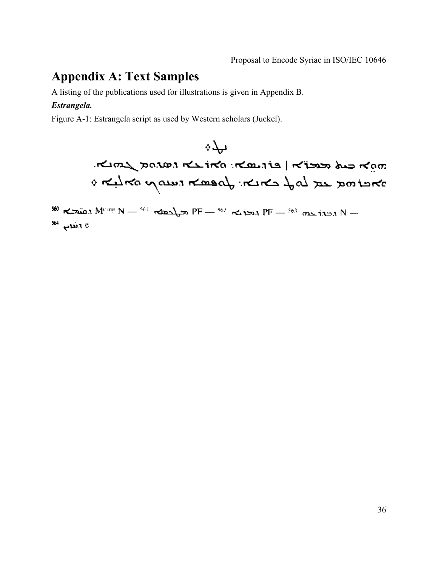## **Appendix A: Text Samples**

A listing of the publications used for illustrations is given in Appendix B.

#### *Estrangela.*

Figure A-1: Estrangela script as used by Western scholars (Juckel).

ىيدە man cut reston mando mando de mando i Kelko yawa Kosal Kiki fal zu zoitiko

 $\frac{960 \text{ rad}}{1000 \text{ rad}}$  M<sup>eing</sup> N  $-$  <sup>561</sup>  $\text{ rad}$  $\text{cm}$  PF  $-$  <sup>562</sup>  $\text{ rad}$  PF  $-$  <sup>563</sup>  $\text{ rad}$  N  $$ a e الأمامي. <sup>364</sup>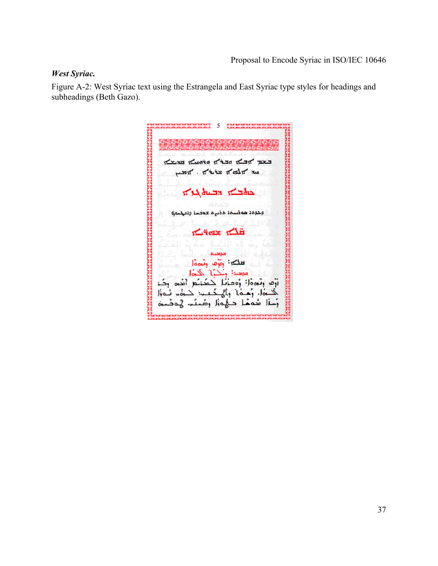#### *West Syriac.*

Figure A-2: West Syriac text using the Estrangela and East Syriac type styles for headings and subheadings (Beth Gazo).

кислоположница на село (5)<br>Какатализации на село (6) The Tudie of the Think part بستعظ بالأشاخة للأحطاط السد حافظت التساه لحفاته ł وخوهد هوضحة هضره عوصد وديهمو H تشاتر تشابك E محمد تعلكت وارده ونحادا وككراء الحناه فتوهده أرف رثووه! وومؤنا كمكنكع أهوى ركز حان رَهْدُ ) ، وَلَيْ كَتَبْ لَا يَوْمًا لِهُ عَامَلَ ⊻ مُحمَّا حَجُمَزًا رَضَعَتَ، إِنَّمَ ٦i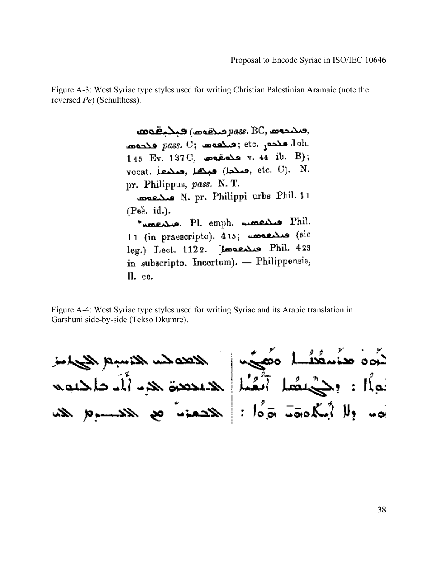Figure A-3: West Syriac type styles used for writing Christian Palestinian Aramaic (note the reversed *Pe*) (Schulthess).

> $\mathbf{a}$ محمده $p$  (محمده  $p$ ass,  $\mathrm{BC}, \mathbf{a}$ محمده etc. وحدد  $pass$ . C; منابعة و و العدد و  $Joh.$  $145$  Ev.  $137\,\mathrm{C}$ , وحدقه v.  $44\,$  ib. B); vocat. ومنطق (بعنها , etc. C). N. pr. Philippus, pass. N. T. N. pr. Philippi urbs Phil. 11  $(P<sub>e<sub>2</sub></sub>, id<sub>n</sub>)$ . \* سمعه . Pl. emph. سمعهه . Phil. 11 (in praescripto). 415; une (sic leg.) Lect. 1122. [Lect. 423 in subscripto. Incertum). - Philippensis, ll. cc.

Figure A-4: West Syriac type styles used for writing Syriac and its Arabic translation in Garshuni side-by-side (Tekso Dkumre).

لَهُوهُ مِنْسَمُعُهُ لِمَ وَهُجُبِهِ الْمَحْمَدِ الْمَسْبِعِ الْجِهَامِنِينَ<br>نَوْلًا : وَحَيْ نَصْلَ أَنْقُنَا لِلْمُنْتَدِهِ الْآيَا وَالْحَدِيَةِ الْآيَا وَالْحَدِيَّةِ يُهِ، وَلَا أَمَّكُمُوهَةَ جَرَّهُ! : هَذَهُ مَعْ هَذَا الله عَلَيْمَةِ مِنْ مَنْ اللهُ مَنْ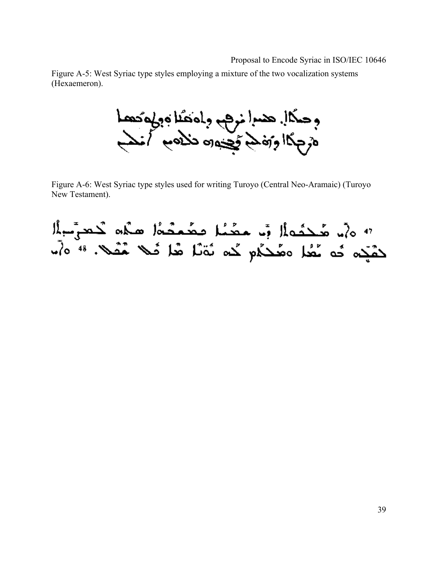Figure A-5: West Syriac type styles employing a mixture of the two vocalization systems (Hexaemeron).

وحكال هما نرهم وادهنا وولوكهما<br>درجگا وزدهم وجهاد تلاوم كنم

Figure A-6: West Syriac type styles used for writing Turoyo (Central Neo-Aramaic) (Turoyo New Testament).

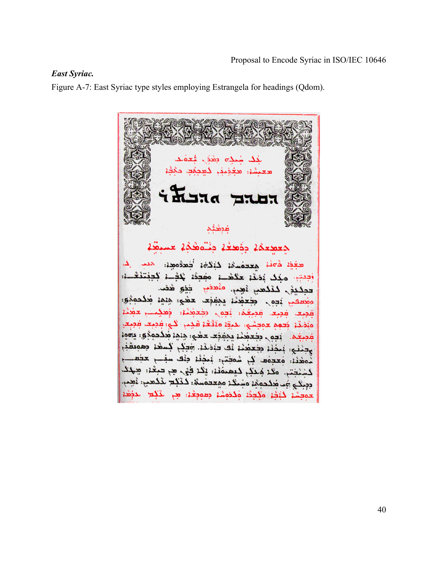#### *East Syriac.*

Figure A-7: East Syriac type styles employing Estrangela for headings (Qdom).

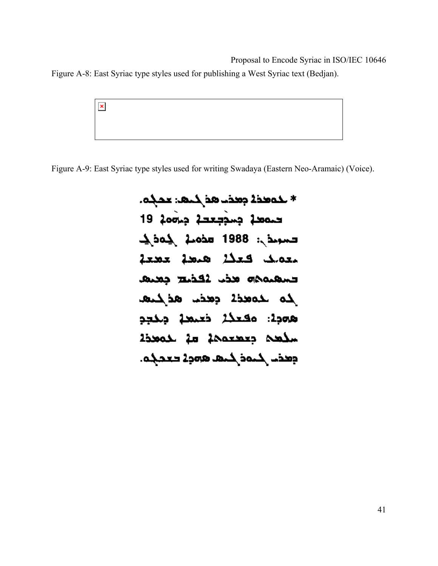Figure A-8: East Syriac type styles used for publishing a West Syriac text (Bedjan).

 $\pmb{\times}$ 

Figure A-9: East Syriac type styles used for writing Swadaya (Eastern Neo-Aramaic) (Voice).

\* خەمدىك جەدئا ھە خاھە: مەجە. حمصد جسججعحة جمعه 19  $\Delta$ ba $\Delta$   $\Delta$ bods 1988 :  $\Delta$ od  $\Delta$ معملك فعذلا همحة عصعة حسمتهم مذب لمحذيح جميم لمه للمعددة وهذل هذلكتها همجة: مقعلة خعمعة جنحجم سلحه جعصعمة مة لدمحدة وطفت لمنافر كتها همولا فعجلها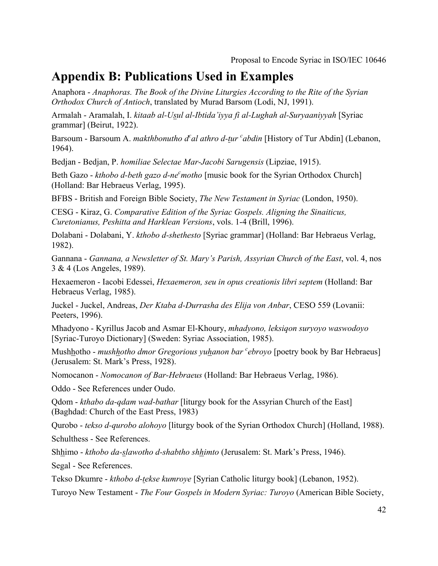### **Appendix B: Publications Used in Examples**

Anaphora - *Anaphoras. The Book of the Divine Liturgies According to the Rite of the Syrian Orthodox Church of Antioch*, translated by Murad Barsom (Lodi, NJ, 1991).

Armalah - Aramalah, I. *kitaab al-Usul al-Ibtida'iyya fi al-Lughah al-Suryaaniyyah* [Syriac grammar] (Beirut, 1922).

Barsoum - Barsoum A. *makthbonutho d<sup>c</sup>al athro d-tur <sup>c</sup>abdin* [History of Tur Abdin] (Lebanon, 1964).

Bedjan - Bedjan, P. *homiliae Selectae Mar-Jacobi Sarugensis* (Lipziae, 1915).

Beth Gazo - *kthobo d-beth gazo d-ne<sup>c</sup> motho* [music book for the Syrian Orthodox Church] (Holland: Bar Hebraeus Verlag, 1995).

BFBS - British and Foreign Bible Society, *The New Testament in Syriac* (London, 1950).

CESG - Kiraz, G. *Comparative Edition of the Syriac Gospels. Aligning the Sinaiticus, Curetonianus, Peshitta and Harklean Versions*, vols. 1-4 (Brill, 1996).

Dolabani - Dolabani, Y. *kthobo d-shethesto* [Syriac grammar] (Holland: Bar Hebraeus Verlag, 1982).

Gannana - *Gannana, a Newsletter of St. Mary's Parish, Assyrian Church of the East*, vol. 4, nos 3 & 4 (Los Angeles, 1989).

Hexaemeron - Iacobi Edessei, *Hexaemeron, seu in opus creationis libri septem* (Holland: Bar Hebraeus Verlag, 1985).

Juckel - Juckel, Andreas, *Der Ktaba d-Durrasha des Elija von Anbar*, CESO 559 (Lovanii: Peeters, 1996).

Mhadyono - Kyrillus Jacob and Asmar El-Khoury, *mhadyono, leksiqon suryoyo waswodoyo* [Syriac-Turoyo Dictionary] (Sweden: Syriac Association, 1985).

Mush<u>h</u>otho *- mushhotho dmor Gregorious yuhanon bar* <sup>*c</sup>ebroyo* [poetry book by Bar Hebraeus]</sup> (Jerusalem: St. Mark's Press, 1928).

Nomocanon - *Nomocanon of Bar-Hebraeus* (Holland: Bar Hebraeus Verlag, 1986).

Oddo - See References under Oudo.

Qdom - *kthabo da-qdam wad-bathar* [liturgy book for the Assyrian Church of the East] (Baghdad: Church of the East Press, 1983)

Qurobo - *tekso d-qurobo alohoyo* [liturgy book of the Syrian Orthodox Church] (Holland, 1988).

Schulthess - See References.

Shhimo - *kthobo da-slawotho d-shabtho shhimto* (Jerusalem: St. Mark's Press, 1946).

Segal - See References.

Tekso Dkumre - *kthobo d-tekse kumroye* [Syrian Catholic liturgy book] (Lebanon, 1952).

Turoyo New Testament - *The Four Gospels in Modern Syriac: Turoyo* (American Bible Society,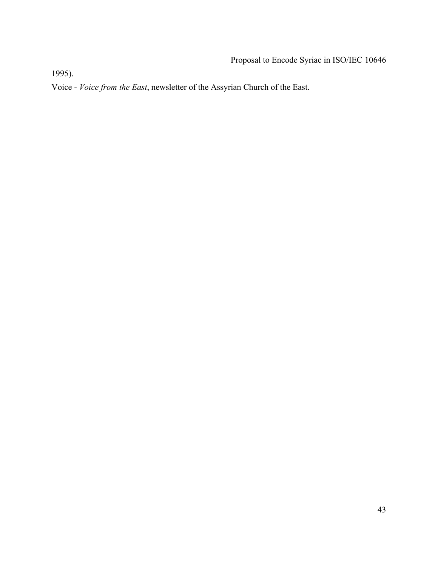1995).

Voice - *Voice from the East*, newsletter of the Assyrian Church of the East.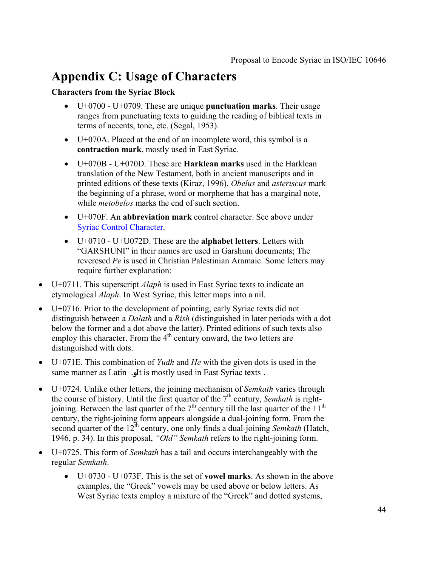## **Appendix C: Usage of Characters**

#### **Characters from the Syriac Block**

- U+0700 U+0709. These are unique **punctuation marks**. Their usage ranges from punctuating texts to guiding the reading of biblical texts in terms of accents, tone, etc. (Segal, 1953).
- U+070A. Placed at the end of an incomplete word, this symbol is a **contraction mark**, mostly used in East Syriac.
- U+070B U+070D. These are **Harklean marks** used in the Harklean translation of the New Testament, both in ancient manuscripts and in printed editions of these texts (Kiraz, 1996). *Obelus* and *asteriscus* mark the beginning of a phrase, word or morpheme that has a marginal note, while *metobelos* marks the end of such section.
- U+070F. An **abbreviation mark** control character. See above under Syriac Control Character.
- U+0710 U+U072D. These are the **alphabet letters**. Letters with "GARSHUNI" in their names are used in Garshuni documents; The reveresed *Pe* is used in Christian Palestinian Aramaic. Some letters may require further explanation:
- U+0711. This superscript *Alaph* is used in East Syriac texts to indicate an etymological *Alaph*. In West Syriac, this letter maps into a nil.
- U+0716. Prior to the development of pointing, early Syriac texts did not distinguish between a *Dalath* and a *Rish* (distinguished in later periods with a dot below the former and a dot above the latter). Printed editions of such texts also employ this character. From the  $4<sup>th</sup>$  century onward, the two letters are distinguished with dots.
- U+071E. This combination of *Yudh* and *He* with the given dots is used in the same manner as Latin . It is mostly used in East Syriac texts .
- U+0724. Unlike other letters, the joining mechanism of *Semkath* varies through the course of history. Until the first quarter of the  $7<sup>th</sup>$  century, *Semkath* is rightjoining. Between the last quarter of the  $7<sup>th</sup>$  century till the last quarter of the 11<sup>th</sup> century, the right-joining form appears alongside a dual-joining form. From the second quarter of the 12<sup>th</sup> century, one only finds a dual-joining *Semkath* (Hatch, 1946, p. 34). In this proposal, *"Old" Semkath* refers to the right-joining form.
- U+0725. This form of *Semkath* has a tail and occurs interchangeably with the regular *Semkath*.
	- U+0730 U+073F. This is the set of **vowel marks**. As shown in the above examples, the "Greek" vowels may be used above or below letters. As West Syriac texts employ a mixture of the "Greek" and dotted systems,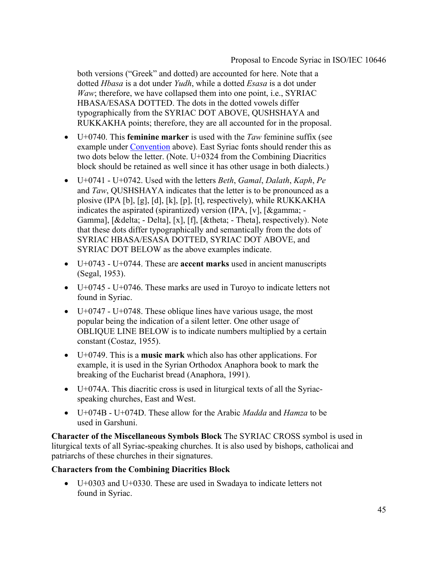both versions ("Greek" and dotted) are accounted for here. Note that a dotted *Hbasa* is a dot under *Yudh*, while a dotted *Esasa* is a dot under *Waw*; therefore, we have collapsed them into one point, i.e., SYRIAC HBASA/ESASA DOTTED. The dots in the dotted vowels differ typographically from the SYRIAC DOT ABOVE, QUSHSHAYA and RUKKAKHA points; therefore, they are all accounted for in the proposal.

- U+0740. This **feminine marker** is used with the *Taw* feminine suffix (see example under Convention above). East Syriac fonts should render this as two dots below the letter. (Note. U+0324 from the Combining Diacritics block should be retained as well since it has other usage in both dialects.)
- U+0741 U+0742. Used with the letters *Beth*, *Gamal*, *Dalath*, *Kaph*, *Pe* and *Taw*, QUSHSHAYA indicates that the letter is to be pronounced as a plosive (IPA [b], [g], [d], [k], [p], [t], respectively), while RUKKAKHA indicates the aspirated (spirantized) version (IPA, [v],  $[\&$  gamma; -Gamma], [δ - Delta], [x], [f], [θ - Theta], respectively). Note that these dots differ typographically and semantically from the dots of SYRIAC HBASA/ESASA DOTTED, SYRIAC DOT ABOVE, and SYRIAC DOT BELOW as the above examples indicate.
- U+0743 U+0744. These are **accent marks** used in ancient manuscripts (Segal, 1953).
- U+0745 U+0746. These marks are used in Turoyo to indicate letters not found in Syriac.
- $U+0747$  U+0748. These oblique lines have various usage, the most popular being the indication of a silent letter. One other usage of OBLIQUE LINE BELOW is to indicate numbers multiplied by a certain constant (Costaz, 1955).
- U+0749. This is a **music mark** which also has other applications. For example, it is used in the Syrian Orthodox Anaphora book to mark the breaking of the Eucharist bread (Anaphora, 1991).
- U+074A. This diacritic cross is used in liturgical texts of all the Syriacspeaking churches, East and West.
- U+074B U+074D. These allow for the Arabic *Madda* and *Hamza* to be used in Garshuni.

**Character of the Miscellaneous Symbols Block** The SYRIAC CROSS symbol is used in liturgical texts of all Syriac-speaking churches. It is also used by bishops, catholicai and patriarchs of these churches in their signatures.

#### **Characters from the Combining Diacritics Block**

• U+0303 and U+0330. These are used in Swadaya to indicate letters not found in Syriac.